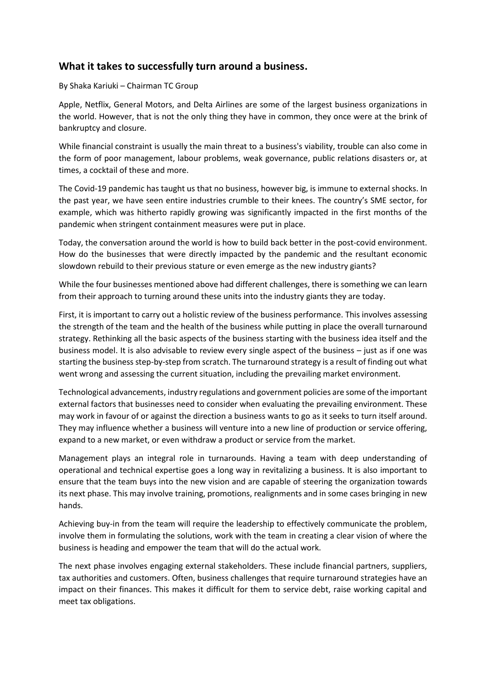## **What it takes to successfully turn around a business.**

## By Shaka Kariuki – Chairman TC Group

Apple, Netflix, General Motors, and Delta Airlines are some of the largest business organizations in the world. However, that is not the only thing they have in common, they once were at the brink of bankruptcy and closure.

While financial constraint is usually the main threat to a business's viability, trouble can also come in the form of poor management, labour problems, weak governance, public relations disasters or, at times, a cocktail of these and more.

The Covid-19 pandemic has taught us that no business, however big, is immune to external shocks. In the past year, we have seen entire industries crumble to their knees. The country's SME sector, for example, which was hitherto rapidly growing was significantly impacted in the first months of the pandemic when stringent containment measures were put in place.

Today, the conversation around the world is how to build back better in the post-covid environment. How do the businesses that were directly impacted by the pandemic and the resultant economic slowdown rebuild to their previous stature or even emerge as the new industry giants?

While the four businesses mentioned above had different challenges, there is something we can learn from their approach to turning around these units into the industry giants they are today.

First, it is important to carry out a holistic review of the business performance. This involves assessing the strength of the team and the health of the business while putting in place the overall turnaround strategy. Rethinking all the basic aspects of the business starting with the business idea itself and the business model. It is also advisable to review every single aspect of the business – just as if one was starting the business step-by-step from scratch. The turnaround strategy is a result of finding out what went wrong and assessing the current situation, including the prevailing market environment.

Technological advancements, industry regulations and government policies are some of the important external factors that businesses need to consider when evaluating the prevailing environment. These may work in favour of or against the direction a business wants to go as it seeks to turn itself around. They may influence whether a business will venture into a new line of production or service offering, expand to a new market, or even withdraw a product or service from the market.

Management plays an integral role in turnarounds. Having a team with deep understanding of operational and technical expertise goes a long way in revitalizing a business. It is also important to ensure that the team buys into the new vision and are capable of steering the organization towards its next phase. This may involve training, promotions, realignments and in some cases bringing in new hands.

Achieving buy-in from the team will require the leadership to effectively communicate the problem, involve them in formulating the solutions, work with the team in creating a clear vision of where the business is heading and empower the team that will do the actual work.

The next phase involves engaging external stakeholders. These include financial partners, suppliers, tax authorities and customers. Often, business challenges that require turnaround strategies have an impact on their finances. This makes it difficult for them to service debt, raise working capital and meet tax obligations.